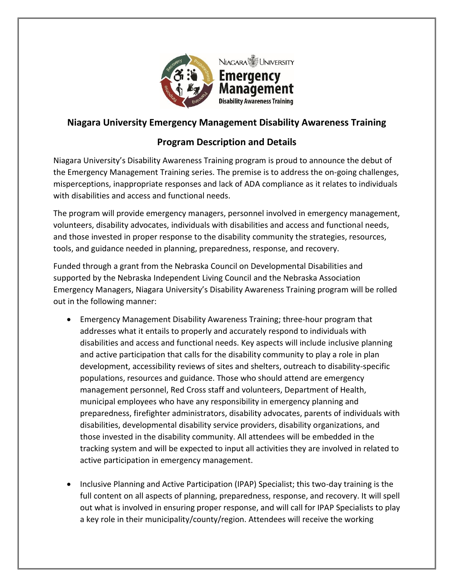

## **Niagara University Emergency Management Disability Awareness Training**

## **Program Description and Details**

Niagara University's Disability Awareness Training program is proud to announce the debut of the Emergency Management Training series. The premise is to address the on-going challenges, misperceptions, inappropriate responses and lack of ADA compliance as it relates to individuals with disabilities and access and functional needs.

The program will provide emergency managers, personnel involved in emergency management, volunteers, disability advocates, individuals with disabilities and access and functional needs, and those invested in proper response to the disability community the strategies, resources, tools, and guidance needed in planning, preparedness, response, and recovery.

Funded through a grant from the Nebraska Council on Developmental Disabilities and supported by the Nebraska Independent Living Council and the Nebraska Association Emergency Managers, Niagara University's Disability Awareness Training program will be rolled out in the following manner:

- Emergency Management Disability Awareness Training; three-hour program that addresses what it entails to properly and accurately respond to individuals with disabilities and access and functional needs. Key aspects will include inclusive planning and active participation that calls for the disability community to play a role in plan development, accessibility reviews of sites and shelters, outreach to disability-specific populations, resources and guidance. Those who should attend are emergency management personnel, Red Cross staff and volunteers, Department of Health, municipal employees who have any responsibility in emergency planning and preparedness, firefighter administrators, disability advocates, parents of individuals with disabilities, developmental disability service providers, disability organizations, and those invested in the disability community. All attendees will be embedded in the tracking system and will be expected to input all activities they are involved in related to active participation in emergency management.
- Inclusive Planning and Active Participation (IPAP) Specialist; this two-day training is the full content on all aspects of planning, preparedness, response, and recovery. It will spell out what is involved in ensuring proper response, and will call for IPAP Specialists to play a key role in their municipality/county/region. Attendees will receive the working